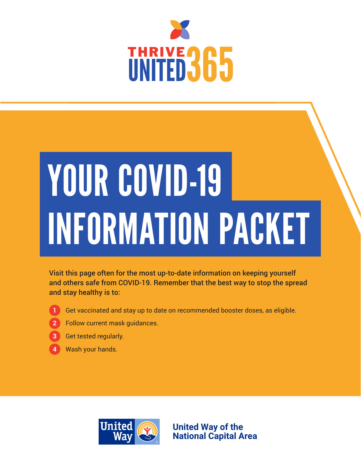

# YOUR COVID-19 INFORMATION PACKET

Visit this page often for the most up-to-date information on keeping yourself and others safe from COVID-19. Remember that the best way to stop the spread and stay healthy is to:

- **1**
	- Get vaccinated and stay up to date on recommended booster doses, as eligible.
- Follow current mask guidances. **2**
- **3** Get tested regularly.
- Wash your hands. **4**



**United Way of the National Capital Area**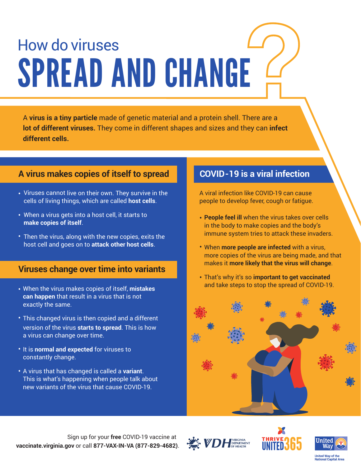### How do viruses SPREAD AND CHANGE

A **virus is a tiny particle** made of genetic material and a protein shell. There are a **lot of different viruses.** They come in different shapes and sizes and they can **infect different cells.**

#### **A virus makes copies of itself to spread COVID-19 is a viral infection**

- Viruses cannot live on their own. They survive in the cells of living things, which are called **host cells**.
- When a virus gets into a host cell, it starts to **make copies of itself**.
- Then the virus, along with the new copies, exits the host cell and goes on to **attack other host cells**.

#### **Viruses change over time into variants**

- When the virus makes copies of itself, **mistakes can happen** that result in a virus that is not exactly the same.
- This changed virus is then copied and a different version of the virus **starts to spread**. This is how a virus can change over time.
- It is **normal and expected** for viruses to constantly change.
- A virus that has changed is called a **variant**. This is what's happening when people talk about new variants of the virus that cause COVID-19.

A viral infection like COVID-19 can cause people to develop fever, cough or fatigue.

- **People feel ill** when the virus takes over cells in the body to make copies and the body's immune system tries to attack these invaders.
- When **more people are infected** with a virus, more copies of the virus are being made, and that makes it **more likely that the virus will change**.
- That's why it's so **important to get vaccinated** and take steps to stop the spread of COVID-19.









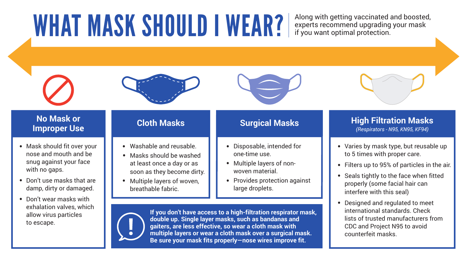### **No Mask or**

#### **INO Mask or Resource A Cloth Masks Masks Surgical Masks Masks (Respirators - N95, KN95, KF94)**<br>Improper Use **Respirators - N95, KF94)** *(Respirators - N95, KN95, KF94)*

**If you don't have access to a high-filtration respirator mask, double up. Single layer masks, such as bandanas and gaiters, are less effective, so wear a cloth mask with multiple layers or wear a cloth mask over a surgical mask. Be sure your mask fits properly—nose wires improve fit.**

- 
- 
- 
- 



• Washable and reusable.  $\begin{array}{|c|c|} \hline \multicolumn{1}{|c|}{\bullet} & \multicolumn{1}{c|}{\bullet} & \multicolumn{1}{c|}{\bullet} & \multicolumn{1}{c|}{\bullet} & \multicolumn{1}{c|}{\bullet} & \multicolumn{1}{c|}{\bullet} & \multicolumn{1}{c|}{\bullet} & \multicolumn{1}{c|}{\bullet} & \multicolumn{1}{c|}{\bullet} & \multicolumn{1}{c|}{\bullet} & \multicolumn{1}{c|}{\bullet} & \multicolumn{1}{c|}{\bullet} & \multicolumn{1}{c|}{\bullet}$ to 5 times with proper care.

- Mask should fit over your **•** nose and mouth and be snug against your face with no gaps.
- Don't use masks that are **•** damp, dirty or damaged.
- Don't wear masks with **•** exhalation valves, which allow virus particles to escape.



- Washable and reusable.
- Masks should be washed **•**at least once a day or as soon as they become dirty.
- Multiple layers of woven, breathable fabric. **•**

Seals tightly to the face when fitted **•** properly (some facial hair can interfere with this seal)

Filters up to 95% of particles in the air. **•**

Designed and regulated to meet **•** international standards. Check lists of trusted manufacturers from CDC and Project N95 to avoid counterfeit masks.

- Disposable, intended for **•** one-time use.
- Multiple layers of non-**•** woven material.
- **•** Provides protection against large droplets.



# WHAT MASK SHOULD I WEAR? Along with getting vaccinated and boosted,

experts recommend upgrading your mask if you want optimal protection.

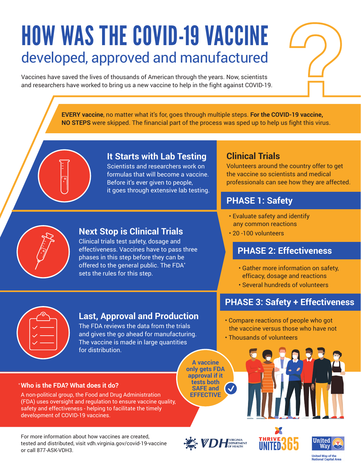### HOW WAS THE COVID-19 VACCINE developed, approved and manufactured

Vaccines have saved the lives of thousands of American through the years. Now, scientists and researchers have worked to bring us a new vaccine to help in the fight against COVID-19.

> **EVERY vaccine**, no matter what it's for, goes through multiple steps. **For the COVID-19 vaccine, NO STEPS** were skipped. The financial part of the process was sped up to help us fight this virus.



#### **It Starts with Lab Testing**

Scientists and researchers work on formulas that will become a vaccine. Before it's ever given to people, it goes through extensive lab testing.

#### **Clinical Trials**

Volunteers around the country offer to get the vaccine so scientists and medical professionals can see how they are affected.

#### **PHASE 1: Safety**

- Evaluate safety and identify any common reactions
- 20 -100 volunteers

#### **PHASE 2: Effectiveness**

- Gather more information on safety, efficacy, dosage and reactions
- Several hundreds of volunteers

• Compare reactions of people who got the vaccine versus those who have not

#### **PHASE 3: Safety + Effectiveness**



#### **Last, Approval and Production**

**Next Stop is Clinical Trials**  Clinical trials test safety, dosage and effectiveness. Vaccines have to pass three phases in this step before they can be offered to the general public. The FDA\*

sets the rules for this step.

The FDA reviews the data from the trials and gives the go ahead for manufacturing. The vaccine is made in large quantities for distribution.

#### **Who is the FDA? What does it do?** \*

A non-political group, the Food and Drug Administration (FDA) uses oversight and regulation to ensure vaccine quality, safety and effectiveness - helping to facilitate the timely development of COVID-19 vaccines.

For more information about how vaccines are created, tested and distributed, visit vdh.virginia.gov/covid-19-vaccine or call 877-ASK-VDH3.

**A vaccine only gets FDA approval if it tests both SAFE and EFFECTIVE**







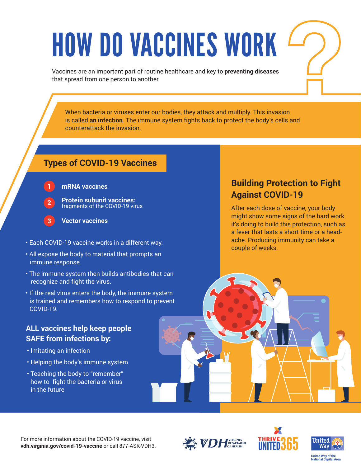### HOW DO VACCINES WORK

Vaccines are an important part of routine healthcare and key to **preventing diseases** that spread from one person to another.

When bacteria or viruses enter our bodies, they attack and multiply. This invasion is called **an infection**. The immune system fights back to protect the body's cells and counterattack the invasion.

#### **Types of COVID-19 Vaccines**

#### **mRNA vaccines 1**

- **Protein subunit vaccines:**  fragments of the COVID-19 virus **2**
- **Vector vaccines 3**
- Each COVID-19 vaccine works in a different way.
- All expose the body to material that prompts an immune response.
- The immune system then builds antibodies that can recognize and fight the virus.
- If the real virus enters the body, the immune system is trained and remembers how to respond to prevent COVID-19.

#### **ALL vaccines help keep people SAFE from infections by:**

- Imitating an infection
- Helping the body's immune system
- Teaching the body to "remember" how to fight the bacteria or virus in the future

#### **Building Protection to Fight Against COVID-19**

After each dose of vaccine, your body might show some signs of the hard work it's doing to build this protection, such as a fever that lasts a short time or a headache. Producing immunity can take a couple of weeks.

For more information about the COVID-19 vaccine, visit **vdh.virginia.gov/covid-19-vaccine** or call 877-ASK-VDH3.





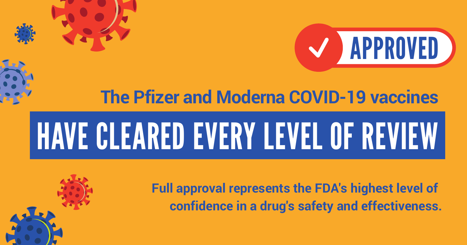



### **The Pfizer and Moderna COVID-19 vaccines**

## HAVE CLEARED EVERY LEVEL OF REVIEW

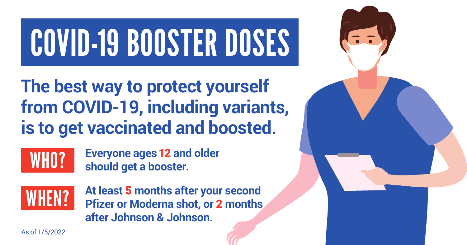## COVID-19 BOOSTER DOSES

### **The best way to protect yourself from COVID-19, including variants, is to get vaccinated and boosted.**



**Everyone ages**12 **and older should get a booster.**



**At least** 5 **months after your second Pfizer or Moderna shot, or** 2 **months after Johnson & Johnson.** 



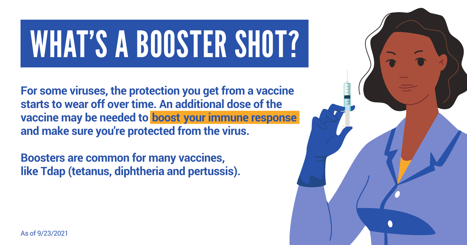## WHAT'S A BOOSTER SHOT?

**For some viruses, the protection you get from a vaccine starts to wear off over time. An additional dose of the vaccine may be needed to boost your immune response and make sure you're protected from the virus.** 

**Boosters are common for many vaccines, like Tdap (tetanus, diphtheria and pertussis).** 

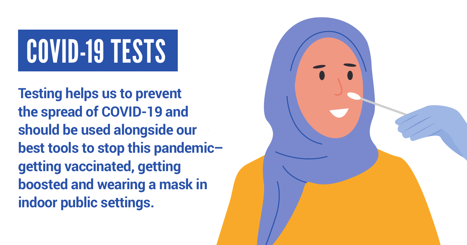# COVID-19 TESTS

**Testing helps us to prevent the spread of COVID-19 and should be used alongside our best tools to stop this pandemic– getting vaccinated, getting boosted and wearing a mask in indoor public settings.** 

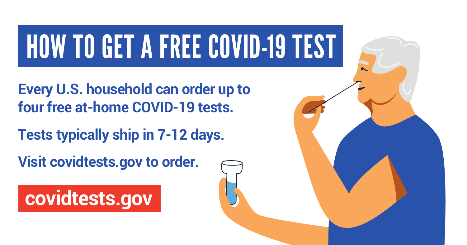## HOW TO GET A FREE COVID-19 TEST

**Every U.S. household can order up to four free at-home COVID-19 tests.** 

**Tests typically ship in 7-12 days.** 

**Visit covidtests.gov to order.** 

**covidtests.gov**

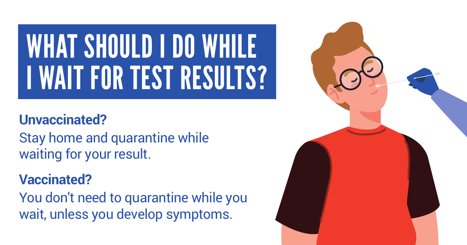## WHAT SHOULD I DO WHILE I WAIT FOR TEST RESULTS?

### **Unvaccinated?**

Stay home and quarantine while waiting for your result.

### **Vaccinated?**

You don't need to quarantine while you wait, unless you develop symptoms.

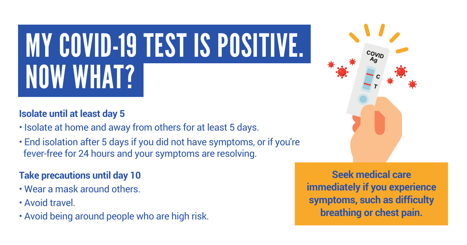## MY COVID-19 TEST IS POSITIVE. NOW WHAT?

#### **Isolate until at least day 5**

- Isolate at home and away from others for at least 5 days.
- End isolation after 5 days if you did not have symptoms, or if you're fever-free for 24 hours and your symptoms are resolving.

#### **Take precautions until day 10**

- Wear a mask around others.
- Avoid travel.
- Avoid being around people who are high risk.



**Seek medical care immediately if you experience symptoms, such as difficulty breathing or chest pain.**